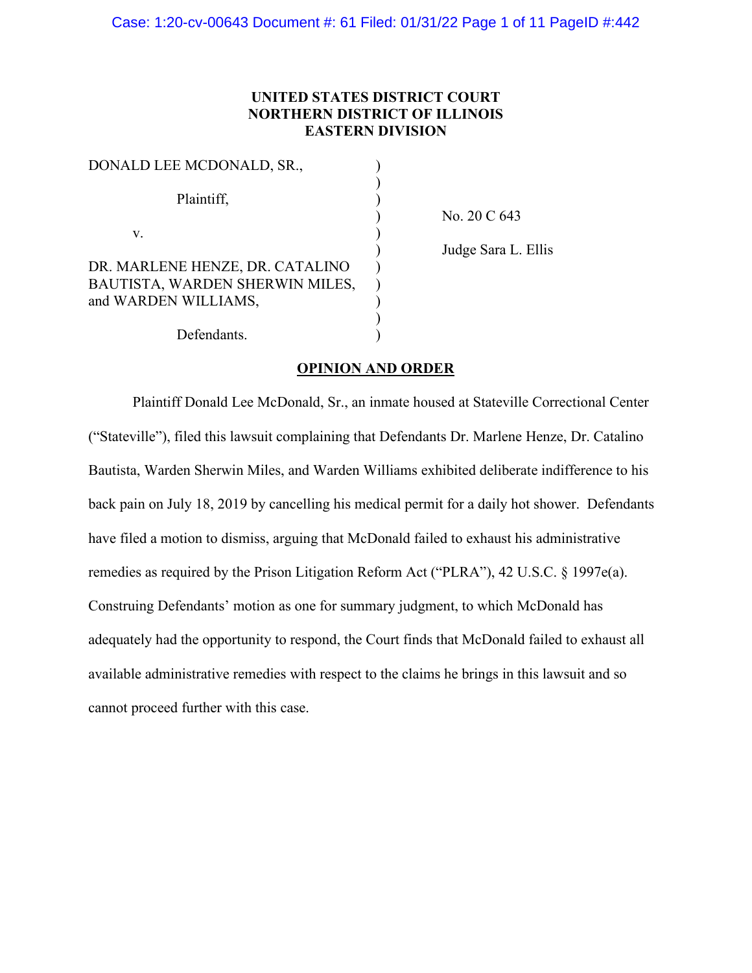## **UNITED STATES DISTRICT COURT NORTHERN DISTRICT OF ILLINOIS EASTERN DIVISION**

| DONALD LEE MCDONALD, SR.,       |  |
|---------------------------------|--|
|                                 |  |
| Plaintiff,                      |  |
|                                 |  |
| V.                              |  |
|                                 |  |
| DR. MARLENE HENZE, DR. CATALINO |  |
| BAUTISTA, WARDEN SHERWIN MILES, |  |
| and WARDEN WILLIAMS,            |  |
|                                 |  |
| Defendants.                     |  |

) No. 20 C 643

) Judge Sara L. Ellis

# **OPINION AND ORDER**

Plaintiff Donald Lee McDonald, Sr., an inmate housed at Stateville Correctional Center ("Stateville"), filed this lawsuit complaining that Defendants Dr. Marlene Henze, Dr. Catalino Bautista, Warden Sherwin Miles, and Warden Williams exhibited deliberate indifference to his back pain on July 18, 2019 by cancelling his medical permit for a daily hot shower. Defendants have filed a motion to dismiss, arguing that McDonald failed to exhaust his administrative remedies as required by the Prison Litigation Reform Act ("PLRA"), 42 U.S.C. § 1997e(a). Construing Defendants' motion as one for summary judgment, to which McDonald has adequately had the opportunity to respond, the Court finds that McDonald failed to exhaust all available administrative remedies with respect to the claims he brings in this lawsuit and so cannot proceed further with this case.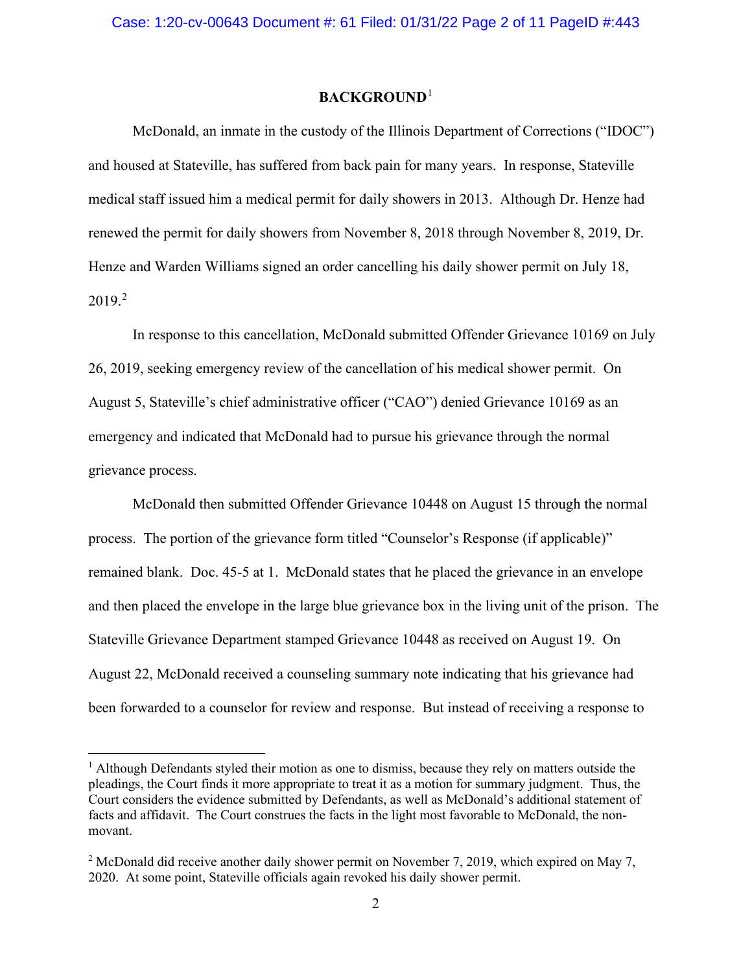### **BACKGROUND**[1](#page-1-0)

McDonald, an inmate in the custody of the Illinois Department of Corrections ("IDOC") and housed at Stateville, has suffered from back pain for many years. In response, Stateville medical staff issued him a medical permit for daily showers in 2013. Although Dr. Henze had renewed the permit for daily showers from November 8, 2018 through November 8, 2019, Dr. Henze and Warden Williams signed an order cancelling his daily shower permit on July 18,  $2019.<sup>2</sup>$  $2019.<sup>2</sup>$ 

In response to this cancellation, McDonald submitted Offender Grievance 10169 on July 26, 2019, seeking emergency review of the cancellation of his medical shower permit. On August 5, Stateville's chief administrative officer ("CAO") denied Grievance 10169 as an emergency and indicated that McDonald had to pursue his grievance through the normal grievance process.

McDonald then submitted Offender Grievance 10448 on August 15 through the normal process. The portion of the grievance form titled "Counselor's Response (if applicable)" remained blank. Doc. 45-5 at 1. McDonald states that he placed the grievance in an envelope and then placed the envelope in the large blue grievance box in the living unit of the prison. The Stateville Grievance Department stamped Grievance 10448 as received on August 19. On August 22, McDonald received a counseling summary note indicating that his grievance had been forwarded to a counselor for review and response. But instead of receiving a response to

<span id="page-1-0"></span><sup>&</sup>lt;sup>1</sup> Although Defendants styled their motion as one to dismiss, because they rely on matters outside the pleadings, the Court finds it more appropriate to treat it as a motion for summary judgment. Thus, the Court considers the evidence submitted by Defendants, as well as McDonald's additional statement of facts and affidavit. The Court construes the facts in the light most favorable to McDonald, the nonmovant.

<span id="page-1-1"></span><sup>&</sup>lt;sup>2</sup> McDonald did receive another daily shower permit on November 7, 2019, which expired on May 7, 2020. At some point, Stateville officials again revoked his daily shower permit.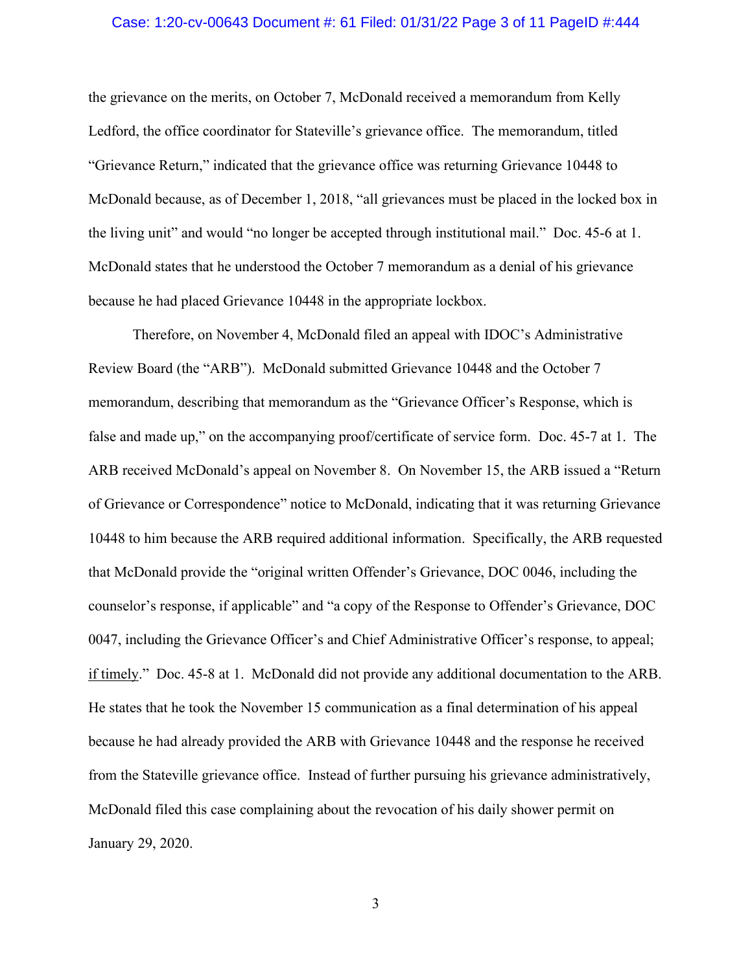### Case: 1:20-cv-00643 Document #: 61 Filed: 01/31/22 Page 3 of 11 PageID #:444

the grievance on the merits, on October 7, McDonald received a memorandum from Kelly Ledford, the office coordinator for Stateville's grievance office. The memorandum, titled "Grievance Return," indicated that the grievance office was returning Grievance 10448 to McDonald because, as of December 1, 2018, "all grievances must be placed in the locked box in the living unit" and would "no longer be accepted through institutional mail." Doc. 45-6 at 1. McDonald states that he understood the October 7 memorandum as a denial of his grievance because he had placed Grievance 10448 in the appropriate lockbox.

Therefore, on November 4, McDonald filed an appeal with IDOC's Administrative Review Board (the "ARB"). McDonald submitted Grievance 10448 and the October 7 memorandum, describing that memorandum as the "Grievance Officer's Response, which is false and made up," on the accompanying proof/certificate of service form. Doc. 45-7 at 1. The ARB received McDonald's appeal on November 8. On November 15, the ARB issued a "Return of Grievance or Correspondence" notice to McDonald, indicating that it was returning Grievance 10448 to him because the ARB required additional information. Specifically, the ARB requested that McDonald provide the "original written Offender's Grievance, DOC 0046, including the counselor's response, if applicable" and "a copy of the Response to Offender's Grievance, DOC 0047, including the Grievance Officer's and Chief Administrative Officer's response, to appeal; if timely." Doc. 45-8 at 1. McDonald did not provide any additional documentation to the ARB. He states that he took the November 15 communication as a final determination of his appeal because he had already provided the ARB with Grievance 10448 and the response he received from the Stateville grievance office. Instead of further pursuing his grievance administratively, McDonald filed this case complaining about the revocation of his daily shower permit on January 29, 2020.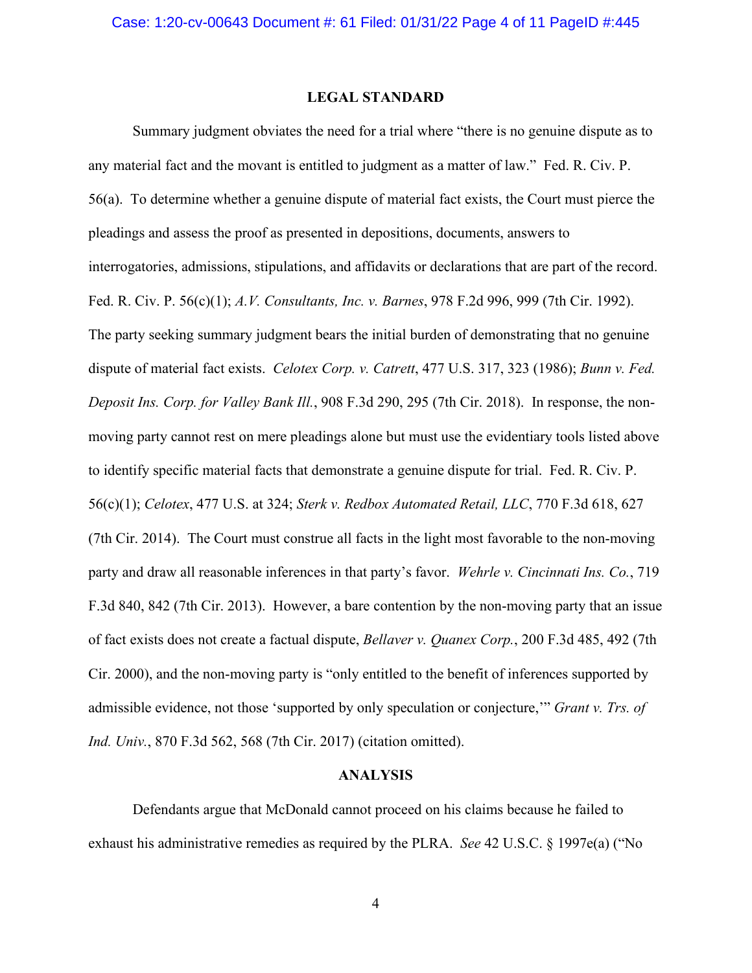#### **LEGAL STANDARD**

Summary judgment obviates the need for a trial where "there is no genuine dispute as to any material fact and the movant is entitled to judgment as a matter of law." Fed. R. Civ. P. 56(a). To determine whether a genuine dispute of material fact exists, the Court must pierce the pleadings and assess the proof as presented in depositions, documents, answers to interrogatories, admissions, stipulations, and affidavits or declarations that are part of the record. Fed. R. Civ. P. 56(c)(1); *A.V. Consultants, Inc. v. Barnes*, 978 F.2d 996, 999 (7th Cir. 1992). The party seeking summary judgment bears the initial burden of demonstrating that no genuine dispute of material fact exists. *Celotex Corp. v. Catrett*, 477 U.S. 317, 323 (1986); *Bunn v. Fed. Deposit Ins. Corp. for Valley Bank Ill.*, 908 F.3d 290, 295 (7th Cir. 2018). In response, the nonmoving party cannot rest on mere pleadings alone but must use the evidentiary tools listed above to identify specific material facts that demonstrate a genuine dispute for trial. Fed. R. Civ. P. 56(c)(1); *Celotex*, 477 U.S. at 324; *Sterk v. Redbox Automated Retail, LLC*, 770 F.3d 618, 627 (7th Cir. 2014). The Court must construe all facts in the light most favorable to the non-moving party and draw all reasonable inferences in that party's favor. *Wehrle v. Cincinnati Ins. Co.*, 719 F.3d 840, 842 (7th Cir. 2013). However, a bare contention by the non-moving party that an issue of fact exists does not create a factual dispute, *Bellaver v. Quanex Corp.*, 200 F.3d 485, 492 (7th Cir. 2000), and the non-moving party is "only entitled to the benefit of inferences supported by admissible evidence, not those 'supported by only speculation or conjecture,'" *Grant v. Trs. of Ind. Univ.*, 870 F.3d 562, 568 (7th Cir. 2017) (citation omitted).

#### **ANALYSIS**

Defendants argue that McDonald cannot proceed on his claims because he failed to exhaust his administrative remedies as required by the PLRA. *See* 42 U.S.C. § 1997e(a) ("No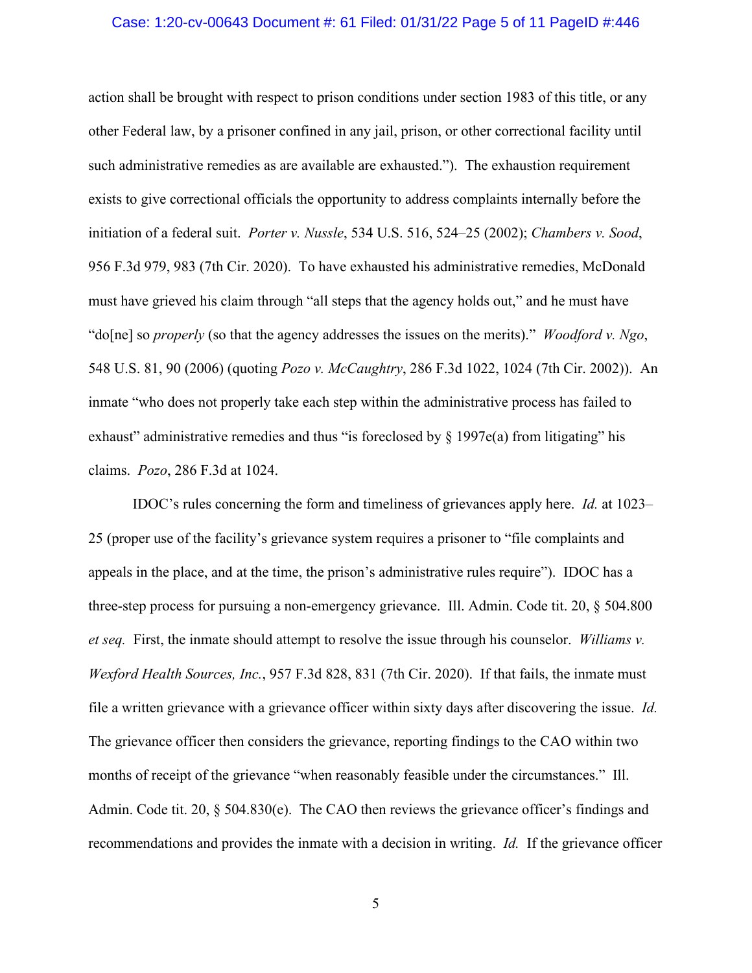#### Case: 1:20-cv-00643 Document #: 61 Filed: 01/31/22 Page 5 of 11 PageID #:446

action shall be brought with respect to prison conditions under section 1983 of this title, or any other Federal law, by a prisoner confined in any jail, prison, or other correctional facility until such administrative remedies as are available are exhausted."). The exhaustion requirement exists to give correctional officials the opportunity to address complaints internally before the initiation of a federal suit. *Porter v. Nussle*, 534 U.S. 516, 524–25 (2002); *Chambers v. Sood*, 956 F.3d 979, 983 (7th Cir. 2020). To have exhausted his administrative remedies, McDonald must have grieved his claim through "all steps that the agency holds out," and he must have "do[ne] so *properly* (so that the agency addresses the issues on the merits)." *Woodford v. Ngo*, 548 U.S. 81, 90 (2006) (quoting *Pozo v. McCaughtry*, 286 F.3d 1022, 1024 (7th Cir. 2002)). An inmate "who does not properly take each step within the administrative process has failed to exhaust" administrative remedies and thus "is foreclosed by  $\S$  1997e(a) from litigating" his claims. *Pozo*, 286 F.3d at 1024.

IDOC's rules concerning the form and timeliness of grievances apply here. *Id.* at 1023– 25 (proper use of the facility's grievance system requires a prisoner to "file complaints and appeals in the place, and at the time, the prison's administrative rules require"). IDOC has a three-step process for pursuing a non-emergency grievance. Ill. Admin. Code tit. 20, § 504.800 *et seq.* First, the inmate should attempt to resolve the issue through his counselor. *Williams v. Wexford Health Sources, Inc.*, 957 F.3d 828, 831 (7th Cir. 2020). If that fails, the inmate must file a written grievance with a grievance officer within sixty days after discovering the issue. *Id.* The grievance officer then considers the grievance, reporting findings to the CAO within two months of receipt of the grievance "when reasonably feasible under the circumstances." Ill. Admin. Code tit. 20, § 504.830(e). The CAO then reviews the grievance officer's findings and recommendations and provides the inmate with a decision in writing. *Id.* If the grievance officer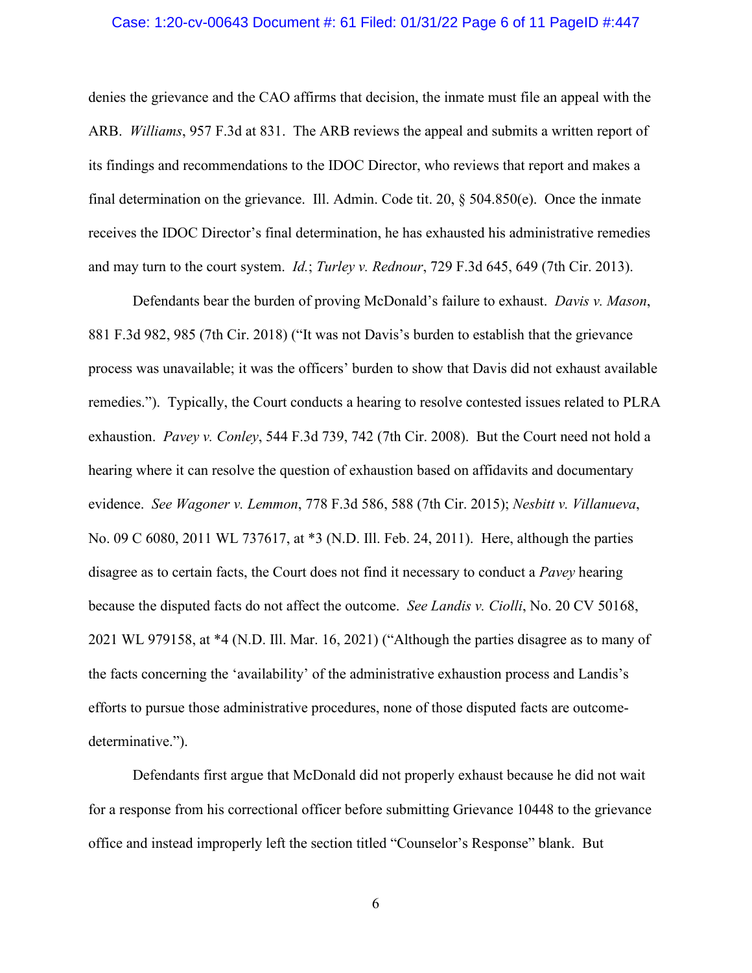### Case: 1:20-cv-00643 Document #: 61 Filed: 01/31/22 Page 6 of 11 PageID #:447

denies the grievance and the CAO affirms that decision, the inmate must file an appeal with the ARB. *Williams*, 957 F.3d at 831. The ARB reviews the appeal and submits a written report of its findings and recommendations to the IDOC Director, who reviews that report and makes a final determination on the grievance. Ill. Admin. Code tit. 20, § 504.850(e). Once the inmate receives the IDOC Director's final determination, he has exhausted his administrative remedies and may turn to the court system. *Id.*; *Turley v. Rednour*, 729 F.3d 645, 649 (7th Cir. 2013).

Defendants bear the burden of proving McDonald's failure to exhaust. *Davis v. Mason*, 881 F.3d 982, 985 (7th Cir. 2018) ("It was not Davis's burden to establish that the grievance process was unavailable; it was the officers' burden to show that Davis did not exhaust available remedies."). Typically, the Court conducts a hearing to resolve contested issues related to PLRA exhaustion. *Pavey v. Conley*, 544 F.3d 739, 742 (7th Cir. 2008). But the Court need not hold a hearing where it can resolve the question of exhaustion based on affidavits and documentary evidence. *See Wagoner v. Lemmon*, 778 F.3d 586, 588 (7th Cir. 2015); *Nesbitt v. Villanueva*, No. 09 C 6080, 2011 WL 737617, at \*3 (N.D. Ill. Feb. 24, 2011). Here, although the parties disagree as to certain facts, the Court does not find it necessary to conduct a *Pavey* hearing because the disputed facts do not affect the outcome. *See Landis v. Ciolli*, No. 20 CV 50168, 2021 WL 979158, at \*4 (N.D. Ill. Mar. 16, 2021) ("Although the parties disagree as to many of the facts concerning the 'availability' of the administrative exhaustion process and Landis's efforts to pursue those administrative procedures, none of those disputed facts are outcomedeterminative.").

Defendants first argue that McDonald did not properly exhaust because he did not wait for a response from his correctional officer before submitting Grievance 10448 to the grievance office and instead improperly left the section titled "Counselor's Response" blank. But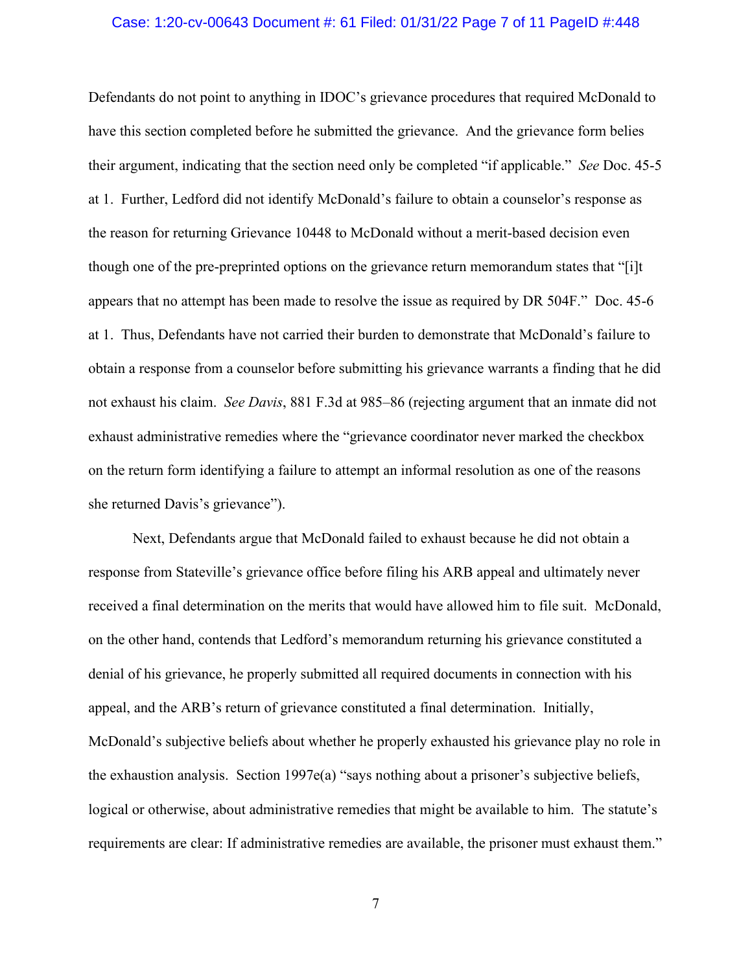### Case: 1:20-cv-00643 Document #: 61 Filed: 01/31/22 Page 7 of 11 PageID #:448

Defendants do not point to anything in IDOC's grievance procedures that required McDonald to have this section completed before he submitted the grievance. And the grievance form belies their argument, indicating that the section need only be completed "if applicable." *See* Doc. 45-5 at 1. Further, Ledford did not identify McDonald's failure to obtain a counselor's response as the reason for returning Grievance 10448 to McDonald without a merit-based decision even though one of the pre-preprinted options on the grievance return memorandum states that "[i]t appears that no attempt has been made to resolve the issue as required by DR 504F." Doc. 45-6 at 1. Thus, Defendants have not carried their burden to demonstrate that McDonald's failure to obtain a response from a counselor before submitting his grievance warrants a finding that he did not exhaust his claim. *See Davis*, 881 F.3d at 985–86 (rejecting argument that an inmate did not exhaust administrative remedies where the "grievance coordinator never marked the checkbox on the return form identifying a failure to attempt an informal resolution as one of the reasons she returned Davis's grievance").

Next, Defendants argue that McDonald failed to exhaust because he did not obtain a response from Stateville's grievance office before filing his ARB appeal and ultimately never received a final determination on the merits that would have allowed him to file suit. McDonald, on the other hand, contends that Ledford's memorandum returning his grievance constituted a denial of his grievance, he properly submitted all required documents in connection with his appeal, and the ARB's return of grievance constituted a final determination. Initially, McDonald's subjective beliefs about whether he properly exhausted his grievance play no role in the exhaustion analysis. Section 1997e(a) "says nothing about a prisoner's subjective beliefs, logical or otherwise, about administrative remedies that might be available to him. The statute's requirements are clear: If administrative remedies are available, the prisoner must exhaust them."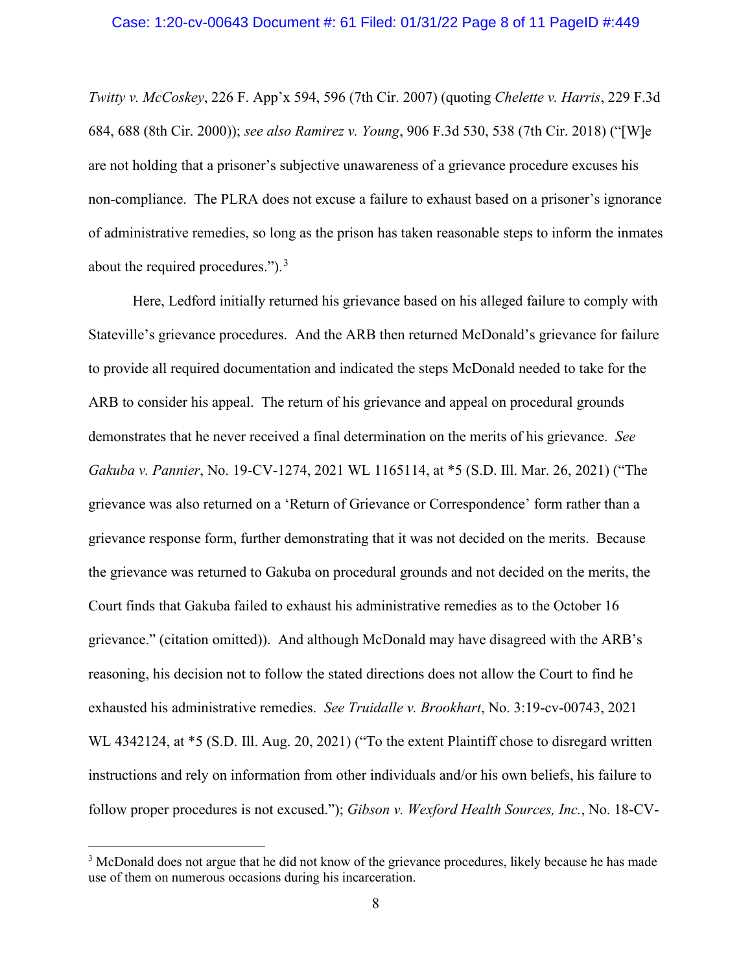#### Case: 1:20-cv-00643 Document #: 61 Filed: 01/31/22 Page 8 of 11 PageID #:449

*Twitty v. McCoskey*, 226 F. App'x 594, 596 (7th Cir. 2007) (quoting *Chelette v. Harris*, 229 F.3d 684, 688 (8th Cir. 2000)); *see also Ramirez v. Young*, 906 F.3d 530, 538 (7th Cir. 2018) ("[W]e are not holding that a prisoner's subjective unawareness of a grievance procedure excuses his non-compliance. The PLRA does not excuse a failure to exhaust based on a prisoner's ignorance of administrative remedies, so long as the prison has taken reasonable steps to inform the inmates about the required procedures." $)$ .<sup>[3](#page-7-0)</sup>

Here, Ledford initially returned his grievance based on his alleged failure to comply with Stateville's grievance procedures. And the ARB then returned McDonald's grievance for failure to provide all required documentation and indicated the steps McDonald needed to take for the ARB to consider his appeal. The return of his grievance and appeal on procedural grounds demonstrates that he never received a final determination on the merits of his grievance. *See Gakuba v. Pannier*, No. 19-CV-1274, 2021 WL 1165114, at \*5 (S.D. Ill. Mar. 26, 2021) ("The grievance was also returned on a 'Return of Grievance or Correspondence' form rather than a grievance response form, further demonstrating that it was not decided on the merits. Because the grievance was returned to Gakuba on procedural grounds and not decided on the merits, the Court finds that Gakuba failed to exhaust his administrative remedies as to the October 16 grievance." (citation omitted)). And although McDonald may have disagreed with the ARB's reasoning, his decision not to follow the stated directions does not allow the Court to find he exhausted his administrative remedies. *See Truidalle v. Brookhart*, No. 3:19-cv-00743, 2021 WL 4342124, at \*5 (S.D. Ill. Aug. 20, 2021) ("To the extent Plaintiff chose to disregard written instructions and rely on information from other individuals and/or his own beliefs, his failure to follow proper procedures is not excused."); *Gibson v. Wexford Health Sources, Inc.*, No. 18-CV-

<span id="page-7-0"></span><sup>&</sup>lt;sup>3</sup> McDonald does not argue that he did not know of the grievance procedures, likely because he has made use of them on numerous occasions during his incarceration.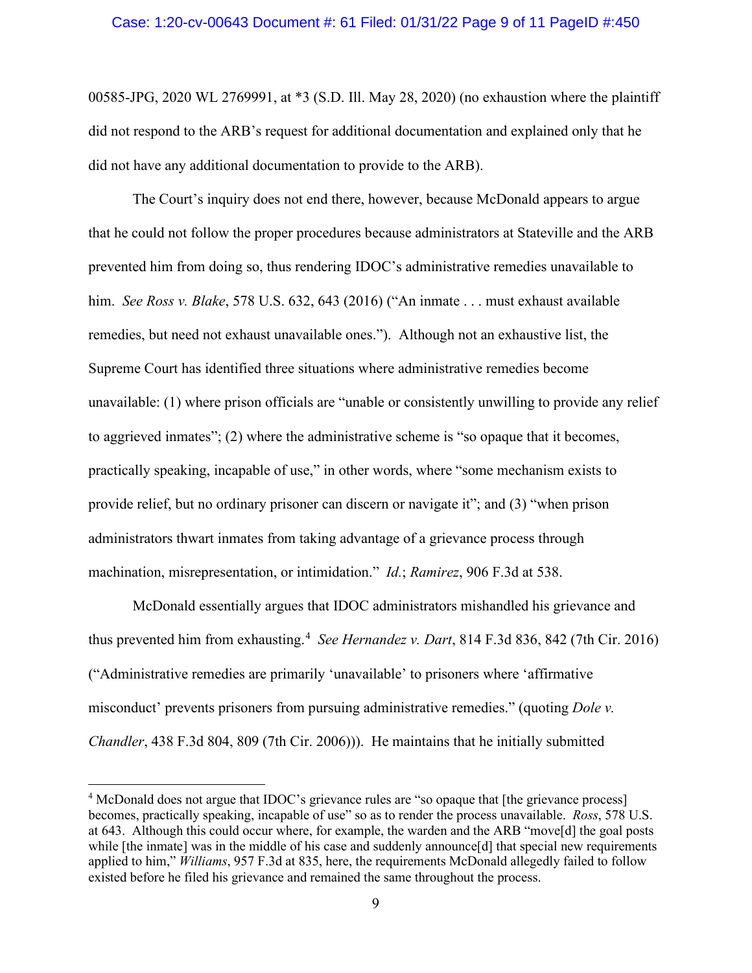#### Case: 1:20-cv-00643 Document #: 61 Filed: 01/31/22 Page 9 of 11 PageID #:450

00585-JPG, 2020 WL 2769991, at \*3 (S.D. Ill. May 28, 2020) (no exhaustion where the plaintiff did not respond to the ARB's request for additional documentation and explained only that he did not have any additional documentation to provide to the ARB).

The Court's inquiry does not end there, however, because McDonald appears to argue that he could not follow the proper procedures because administrators at Stateville and the ARB prevented him from doing so, thus rendering IDOC's administrative remedies unavailable to him. *See Ross v. Blake*, 578 U.S. 632, 643 (2016) ("An inmate . . . must exhaust available remedies, but need not exhaust unavailable ones."). Although not an exhaustive list, the Supreme Court has identified three situations where administrative remedies become unavailable: (1) where prison officials are "unable or consistently unwilling to provide any relief to aggrieved inmates"; (2) where the administrative scheme is "so opaque that it becomes, practically speaking, incapable of use," in other words, where "some mechanism exists to provide relief, but no ordinary prisoner can discern or navigate it"; and (3) "when prison administrators thwart inmates from taking advantage of a grievance process through machination, misrepresentation, or intimidation." *Id.*; *Ramirez*, 906 F.3d at 538.

McDonald essentially argues that IDOC administrators mishandled his grievance and thus prevented him from exhausting.[4](#page-8-0) *See Hernandez v. Dart*, 814 F.3d 836, 842 (7th Cir. 2016) ("Administrative remedies are primarily 'unavailable' to prisoners where 'affirmative misconduct' prevents prisoners from pursuing administrative remedies." (quoting *Dole v. Chandler*, 438 F.3d 804, 809 (7th Cir. 2006))). He maintains that he initially submitted

<span id="page-8-0"></span><sup>&</sup>lt;sup>4</sup> McDonald does not argue that IDOC's grievance rules are "so opaque that [the grievance process] becomes, practically speaking, incapable of use" so as to render the process unavailable. *Ross*, 578 U.S. at 643. Although this could occur where, for example, the warden and the ARB "move[d] the goal posts while [the inmate] was in the middle of his case and suddenly announce[d] that special new requirements applied to him," *Williams*, 957 F.3d at 835, here, the requirements McDonald allegedly failed to follow existed before he filed his grievance and remained the same throughout the process.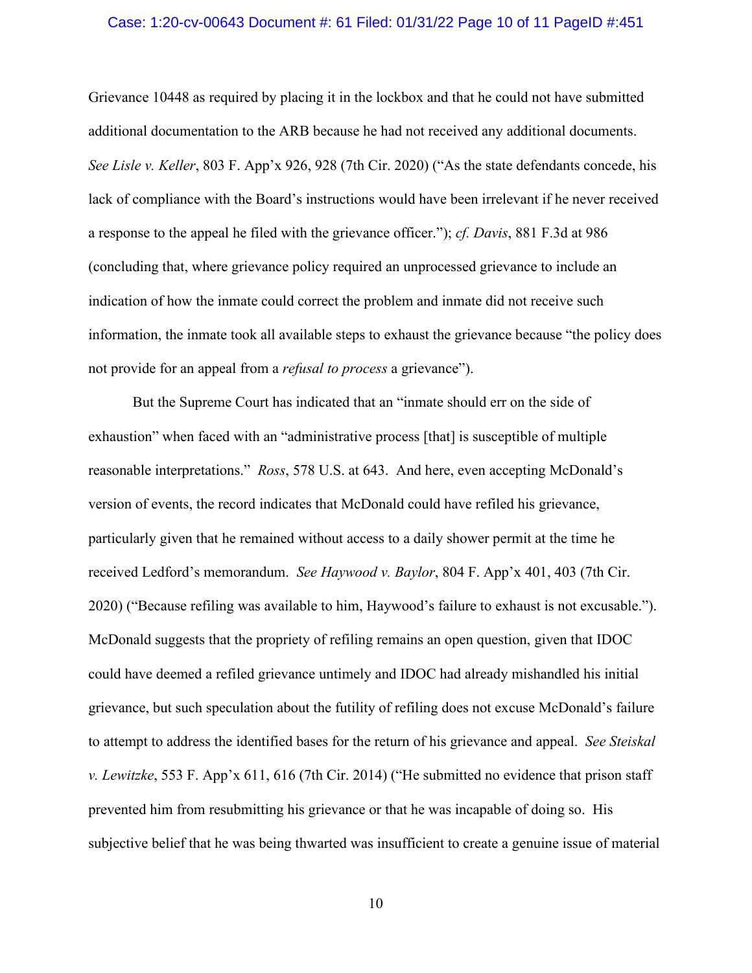### Case: 1:20-cv-00643 Document #: 61 Filed: 01/31/22 Page 10 of 11 PageID #:451

Grievance 10448 as required by placing it in the lockbox and that he could not have submitted additional documentation to the ARB because he had not received any additional documents. *See Lisle v. Keller*, 803 F. App'x 926, 928 (7th Cir. 2020) ("As the state defendants concede, his lack of compliance with the Board's instructions would have been irrelevant if he never received a response to the appeal he filed with the grievance officer."); *cf. Davis*, 881 F.3d at 986 (concluding that, where grievance policy required an unprocessed grievance to include an indication of how the inmate could correct the problem and inmate did not receive such information, the inmate took all available steps to exhaust the grievance because "the policy does not provide for an appeal from a *refusal to process* a grievance").

But the Supreme Court has indicated that an "inmate should err on the side of exhaustion" when faced with an "administrative process [that] is susceptible of multiple reasonable interpretations." *Ross*, 578 U.S. at 643. And here, even accepting McDonald's version of events, the record indicates that McDonald could have refiled his grievance, particularly given that he remained without access to a daily shower permit at the time he received Ledford's memorandum. *See Haywood v. Baylor*, 804 F. App'x 401, 403 (7th Cir. 2020) ("Because refiling was available to him, Haywood's failure to exhaust is not excusable."). McDonald suggests that the propriety of refiling remains an open question, given that IDOC could have deemed a refiled grievance untimely and IDOC had already mishandled his initial grievance, but such speculation about the futility of refiling does not excuse McDonald's failure to attempt to address the identified bases for the return of his grievance and appeal. *See Steiskal v. Lewitzke*, 553 F. App'x 611, 616 (7th Cir. 2014) ("He submitted no evidence that prison staff prevented him from resubmitting his grievance or that he was incapable of doing so. His subjective belief that he was being thwarted was insufficient to create a genuine issue of material